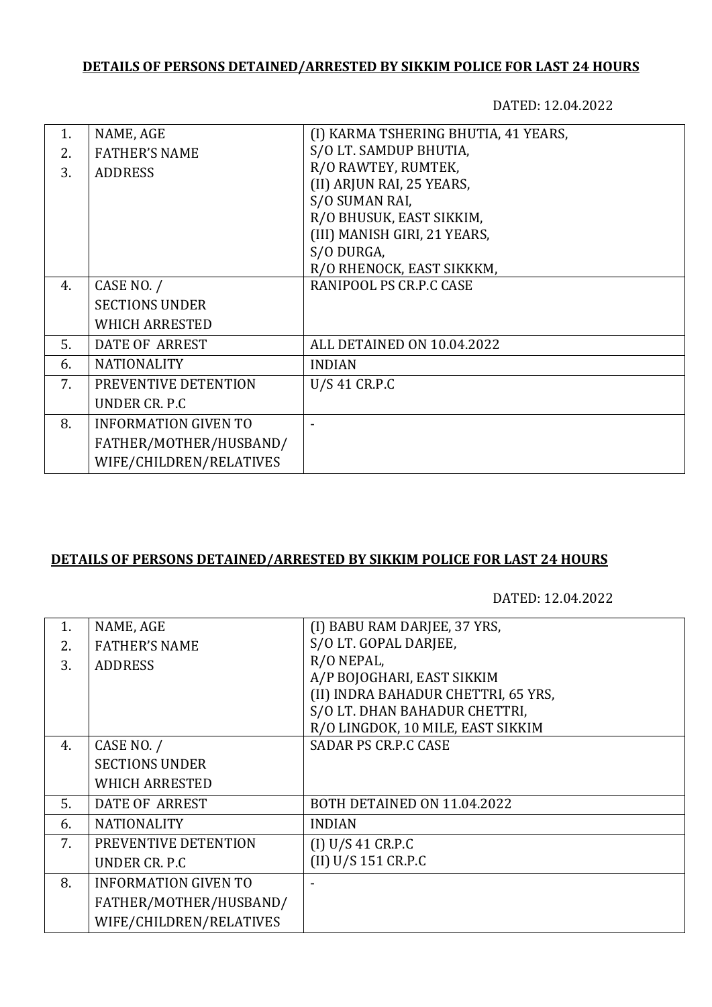## **DETAILS OF PERSONS DETAINED/ARRESTED BY SIKKIM POLICE FOR LAST 24 HOURS**

DATED: 12.04.2022

| 1. | NAME, AGE                   | (I) KARMA TSHERING BHUTIA, 41 YEARS, |
|----|-----------------------------|--------------------------------------|
| 2. | <b>FATHER'S NAME</b>        | S/O LT. SAMDUP BHUTIA,               |
| 3. | <b>ADDRESS</b>              | R/O RAWTEY, RUMTEK,                  |
|    |                             | (II) ARJUN RAI, 25 YEARS,            |
|    |                             | S/O SUMAN RAI,                       |
|    |                             | R/O BHUSUK, EAST SIKKIM,             |
|    |                             | (III) MANISH GIRI, 21 YEARS,         |
|    |                             | S/O DURGA,                           |
|    |                             | R/O RHENOCK, EAST SIKKKM,            |
| 4. | CASE NO. /                  | RANIPOOL PS CR.P.C CASE              |
|    | <b>SECTIONS UNDER</b>       |                                      |
|    | <b>WHICH ARRESTED</b>       |                                      |
| 5. | <b>DATE OF ARREST</b>       | ALL DETAINED ON 10.04.2022           |
| 6. | <b>NATIONALITY</b>          | <b>INDIAN</b>                        |
| 7. | PREVENTIVE DETENTION        | U/S 41 CR.P.C                        |
|    | UNDER CR. P.C               |                                      |
| 8. | <b>INFORMATION GIVEN TO</b> |                                      |
|    | FATHER/MOTHER/HUSBAND/      |                                      |
|    | WIFE/CHILDREN/RELATIVES     |                                      |
|    |                             |                                      |

## **DETAILS OF PERSONS DETAINED/ARRESTED BY SIKKIM POLICE FOR LAST 24 HOURS**

DATED: 12.04.2022

| 1. | NAME, AGE                   | (I) BABU RAM DARJEE, 37 YRS,        |
|----|-----------------------------|-------------------------------------|
| 2. | <b>FATHER'S NAME</b>        | S/O LT. GOPAL DARJEE,               |
| 3. | <b>ADDRESS</b>              | R/O NEPAL,                          |
|    |                             | A/P BOJOGHARI, EAST SIKKIM          |
|    |                             | (II) INDRA BAHADUR CHETTRI, 65 YRS, |
|    |                             | S/O LT. DHAN BAHADUR CHETTRI,       |
|    |                             | R/O LINGDOK, 10 MILE, EAST SIKKIM   |
| 4. | CASE NO. /                  | SADAR PS CR.P.C CASE                |
|    | <b>SECTIONS UNDER</b>       |                                     |
|    | <b>WHICH ARRESTED</b>       |                                     |
| 5. | DATE OF ARREST              | BOTH DETAINED ON 11.04.2022         |
| 6. | <b>NATIONALITY</b>          | <b>INDIAN</b>                       |
| 7. | PREVENTIVE DETENTION        | (I) U/S 41 CR.P.C                   |
|    | UNDER CR. P.C.              | (II) U/S 151 CR.P.C                 |
| 8. | <b>INFORMATION GIVEN TO</b> |                                     |
|    | FATHER/MOTHER/HUSBAND/      |                                     |
|    | WIFE/CHILDREN/RELATIVES     |                                     |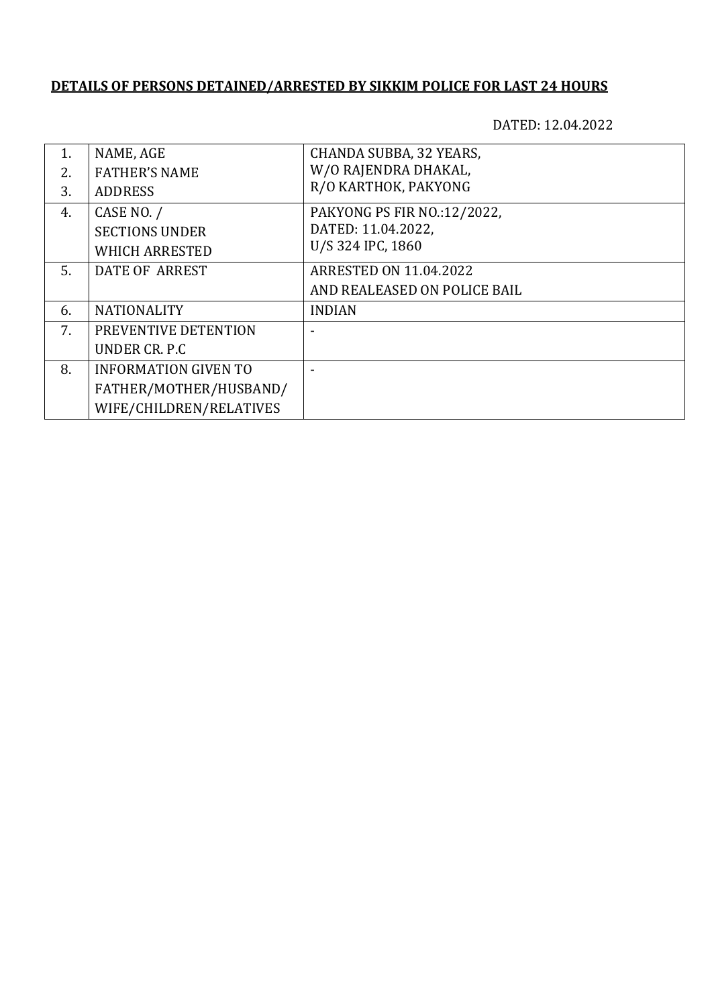## **DETAILS OF PERSONS DETAINED/ARRESTED BY SIKKIM POLICE FOR LAST 24 HOURS**

DATED: 12.04.2022

| 1. | NAME, AGE                   | CHANDA SUBBA, 32 YEARS,       |
|----|-----------------------------|-------------------------------|
| 2. | <b>FATHER'S NAME</b>        | W/O RAJENDRA DHAKAL,          |
| 3. | <b>ADDRESS</b>              | R/O KARTHOK, PAKYONG          |
| 4. | CASE NO. /                  | PAKYONG PS FIR NO.:12/2022,   |
|    | <b>SECTIONS UNDER</b>       | DATED: 11.04.2022,            |
|    | <b>WHICH ARRESTED</b>       | U/S 324 IPC, 1860             |
| 5. | DATE OF ARREST              | <b>ARRESTED ON 11.04.2022</b> |
|    |                             | AND REALEASED ON POLICE BAIL  |
| 6. | <b>NATIONALITY</b>          | <b>INDIAN</b>                 |
| 7. | PREVENTIVE DETENTION        |                               |
|    | UNDER CR. P.C.              |                               |
| 8. | <b>INFORMATION GIVEN TO</b> |                               |
|    | FATHER/MOTHER/HUSBAND/      |                               |
|    | WIFE/CHILDREN/RELATIVES     |                               |